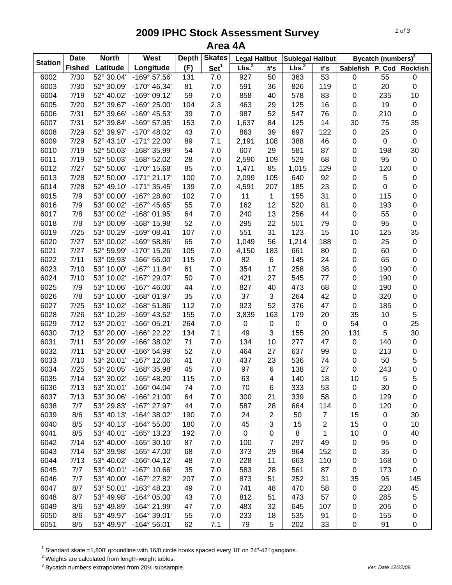## **2009 IPHC Stock Assessment Survey Area 4A**

|                | <b>Date</b>   | <b>North</b> | West                  | <b>Depth</b> | <b>Skates</b>    | <b>Legal Halibut</b> |                | <b>Sublegal Halibut</b> |                |             | Bycatch (numbers) <sup>3</sup> |                     |
|----------------|---------------|--------------|-----------------------|--------------|------------------|----------------------|----------------|-------------------------|----------------|-------------|--------------------------------|---------------------|
| <b>Station</b> | <b>Fished</b> | Latitude     | Longitude             | (F)          | Set <sup>1</sup> | Lbs. <sup>2</sup>    | #'s            | Lbs. <sup>2</sup>       | #'s            | Sablefish   |                                | P. Cod Rockfish     |
| 6002           | 7/30          | 52° 30.04'   | $-169°57.56'$         | 131          | 7.0              | 927                  | 50             | 363                     | 53             | $\pmb{0}$   | $\overline{55}$                | 0                   |
| 6003           | 7/30          | 52° 30.09'   | $-170^{\circ}$ 46.34' | 81           | 7.0              | 591                  | 36             | 826                     | 119            | 0           | 20                             | $\mathsf 0$         |
| 6004           | 7/19          | 52° 40.02'   | $-169°09.12'$         | 59           | 7.0              | 858                  | 40             | 578                     | 83             | 0           | 235                            | 10                  |
| 6005           | 7/20          | 52° 39.67'   | -169° 25.00'          | 104          | 2.3              | 463                  | 29             | 125                     | 16             | $\pmb{0}$   | 19                             | $\pmb{0}$           |
| 6006           | 7/31          | 52° 39.66'   | -169° 45.53'          | 39           | 7.0              | 987                  | 52             | 547                     | 76             | $\mathbf 0$ | 210                            | $\mathsf 0$         |
| 6007           | 7/31          | 52° 39.84'   | -169° 57.95'          | 153          | 7.0              | 1,637                | 84             | 125                     | 14             | 30          | 75                             | 35                  |
| 6008           | 7/29          | 52° 39.97'   | $-170^{\circ}$ 48.02' | 43           | 7.0              | 863                  | 39             | 697                     | 122            | $\pmb{0}$   | 25                             | $\pmb{0}$           |
| 6009           | 7/29          | 52° 43.10'   | -171° 22.00'          | 89           | 7.1              | 2,191                | 108            | 388                     | 46             | 0           | $\pmb{0}$                      | $\mathbf 0$         |
| 6010           | 7/19          | 52° 50.03'   | -168° 35.99'          | 54           | 7.0              | 607                  | 29             | 581                     | 87             | 0           | 198                            | 30                  |
| 6011           | 7/19          | 52° 50.03'   | -168° 52.02'          | 28           | 7.0              | 2,590                | 109            | 529                     | 68             | 0           | 95                             | $\pmb{0}$           |
| 6012           | 7/27          | 52° 50.06'   | -170° 15.68'          | 85           | 7.0              | 1,471                | 85             | 1,015                   | 129            | 0           | 120                            | 0                   |
| 6013           | 7/28          | 52° 50.00'   | $-171°$ 21.17'        | 100          | 7.0              | 2,099                | 105            | 640                     | 92             | 0           | 5                              | 0                   |
| 6014           | 7/28          | 52° 49.10'   | $-171°35.45'$         | 139          | 7.0              | 4,591                | 207            | 185                     | 23             | 0           | $\mathbf 0$                    | 0                   |
| 6015           | 7/9           | 53° 00.00'   | -167° 28.60'          | 102          | 7.0              | 11                   | 1              | 155                     | 31             | 0           | 115                            | $\mathbf 0$         |
| 6016           | 7/9           | 53° 00.02'   | -167° 45.65'          | 55           | 7.0              | 162                  | 12             | 520                     | 81             | 0           | 193                            | 0                   |
| 6017           | 7/8           | 53° 00.02'   | -168° 01.95'          | 64           | 7.0              | 240                  | 13             | 256                     | 44             | 0           | 55                             | 0                   |
| 6018           | 7/8           | 53° 00.09'   | -168° 15.98'          | 52           | 7.0              | 295                  | 22             | 501                     | 79             | 0           | 95                             | 0                   |
| 6019           | 7/25          | 53° 00.29'   | $-169°08.41'$         | 107          | 7.0              | 551                  | 31             | 123                     | 15             | 10          | 125                            | 35                  |
| 6020           | 7/27          | 53° 00.02'   | $-169°58.86'$         | 65           | 7.0              | 1,049                | 56             | 1,214                   | 188            | $\pmb{0}$   | 25                             | $\pmb{0}$           |
| 6021           | 7/27          | 52° 59.99'   | -170° 15.26'          | 105          | 7.0              | 4,150                | 183            | 661                     | 80             | 0           | 60                             | 0                   |
| 6022           | 7/11          | 53° 09.93'   | -166° 56.00'          | 115          | 7.0              | 82                   | 6              | 145                     | 24             | 0           | 65                             | $\mathsf 0$         |
| 6023           | 7/10          | 53° 10.00'   | $-167^{\circ}$ 11.84' | 61           | 7.0              | 354                  | 17             | 258                     | 38             | 0           | 190                            | $\mathsf 0$         |
| 6024           | 7/10          | 53° 10.02'   | -167° 29.07'          | 50           | 7.0              | 421                  | 27             | 545                     | 77             | 0           | 190                            | $\mathsf 0$         |
| 6025           | 7/9           | 53° 10.06'   | $-167^{\circ}$ 46.00' | 44           | 7.0              | 827                  | 40             | 473                     | 68             | $\pmb{0}$   | 190                            | 0                   |
| 6026           | 7/8           | 53° 10.00'   | -168° 01.97'          | 35           | 7.0              | 37                   | 3              | 264                     | 42             | $\pmb{0}$   | 320                            | 0                   |
| 6027           | 7/25          | 53° 10.02'   | $-168°51.86'$         | 112          | 7.0              | 923                  | 52             | 376                     | 47             | $\pmb{0}$   | 185                            | $\mathsf{O}\xspace$ |
| 6028           | 7/26          | 53° 10.25'   | -169° 43.52'          | 155          | 7.0              | 3,839                | 163            | 179                     | 20             | 35          | 10                             | 5                   |
| 6029           | 7/12          | 53° 20.01'   | -166° 05.21'          | 264          | 7.0              | 0                    | $\pmb{0}$      | $\pmb{0}$               | $\mathbf 0$    | 54          | 0                              | 25                  |
| 6030           | 7/12          | 53° 20.00'   | -166° 22.22'          | 134          | 7.1              | 49                   | 3              | 155                     | 20             | 131         | 5                              | 30                  |
| 6031           | 7/11          | 53° 20.09'   | -166° 38.02'          | 71           | 7.0              | 134                  | 10             | 277                     | 47             | $\pmb{0}$   | 140                            | $\pmb{0}$           |
| 6032           | 7/11          | 53° 20.00'   | -166° 54.99'          | 52           | 7.0              | 464                  | 27             | 637                     | 99             | 0           | 213                            | 0                   |
| 6033           | 7/10          | 53° 20.01'   | $-167°$ 12.06'        | 41           | 7.0              | 437                  | 23             | 536                     | 74             | 0           | 50                             | 5                   |
| 6034           | 7/25          | 53° 20.05'   | -168° 35.98'          | 45           | 7.0              | 97                   | 6              | 138                     | 27             | 0           | 243                            | $\mathbf 0$         |
| 6035           | 7/14          | 53° 30.02'   | -165° 48.20'          | 115          | 7.0              | 63                   | 4              | 140                     | 18             | 10          | 5                              | 5                   |
| 6036           | 7/13          | 53° 30.01'   | $-166°04.04'$         | 74           | 7.0              | 70                   | 6              | 333                     | 53             | 0           | 30                             | 0                   |
| 6037           | 7/13          | 53° 30.06'   | $-166^{\circ} 21.00'$ | 64           | 7.0              | 300                  | 21             | 339                     | 58             | 0           | 129                            | 0                   |
| 6038           | 7/7           | 53° 29.83'   | -167° 27.97'          | 44           | 7.0              | 587                  | 28             | 664                     | 114            | 0           | 120                            | 0                   |
| 6039           | 8/6           | 53° 40.13'   | -164° 38.02'          | 190          | 7.0              | 24                   | $\overline{2}$ | 50                      | $\overline{7}$ | 15          | 0                              | 30                  |
| 6040           | 8/5           | 53° 40.13'   | $-164^{\circ} 55.00'$ | 180          | 7.0              | 45                   | 3              | 15                      | $\mathbf{2}$   | 15          | 0                              | 10                  |
| 6041           | 8/5           | 53° 40.01'   | -165° 13.23'          | 192          | 7.0              | 0                    | 0              | 8                       | 1              | 10          | 0                              | 40                  |
| 6042           | 7/14          | 53° 40.00'   | $-165°30.10'$         | 87           | 7.0              | 100                  | $\overline{7}$ | 297                     | 49             | 0           | 95                             | 0                   |
| 6043           | 7/14          | 53° 39.98'   | -165° 47.00'          | 68           | 7.0              | 373                  | 29             | 964                     | 152            | 0           | 35                             | 0                   |
| 6044           | 7/13          | 53° 40.02'   | $-166°04.12'$         | 48           | 7.0              | 228                  | 11             | 663                     | 110            | 0           | 168                            | 0                   |
| 6045           | 7/7           | 53° 40.01'   | $-167^\circ$ 10.66'   | 35           | 7.0              | 583                  | 28             | 561                     | 87             | 0           | 173                            | 0                   |
| 6046           | 7/7           | 53° 40.00'   | -167° 27.82'          | 207          | 7.0              | 873                  | 51             | 252                     | 31             | 35          | 95                             | 145                 |
| 6047           | 8/7           | 53° 50.01'   | -163° 48.23'          | 49           | 7.0              | 741                  | 48             | 470                     | 58             | 0           | 220                            | 45                  |
| 6048           | 8/7           | 53° 49.98'   | $-164^{\circ}$ 05.00' | 43           | 7.0              | 812                  | 51             | 473                     | 57             | 0           | 285                            | 5                   |
| 6049           | 8/6           | 53° 49.89'   | -164° 21.99'          | 47           | 7.0              | 483                  | 32             | 645                     | 107            | 0           | 205                            | 0                   |
| 6050           | 8/6           | 53° 49.97'   | $-164^{\circ}$ 39.01' | 55           | 7.0              | 233                  | 18             | 535                     | 91             | 0           | 155                            | 0                   |
| 6051           | 8/5           | 53° 49.97'   | $-164^{\circ} 56.01'$ | 62           | 7.1              | 79                   | 5              | 202                     | 33             | $\pmb{0}$   | 91                             | 0                   |

 $^1$  Standard skate =1,800' groundline with 16/0 circle hooks spaced every 18' on 24"-42" gangions.<br><sup>2</sup> Weights are calculated from length-weight tables.

3 Bycatch numbers extrapolated from 20% subsample. *Ver. Date 12/22/09*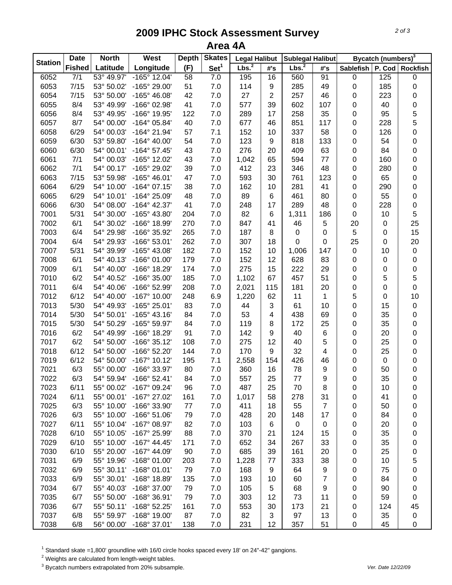## **2009 IPHC Stock Assessment Survey Area 4A**

| <b>Station</b> | <b>Date</b>      | <b>North</b> | West                  | <b>Depth</b>    | <b>Skates</b>    | <b>Legal Halibut</b> |                | <b>Sublegal Halibut</b> |                |                  | Bycatch (numbers) <sup>3</sup> |                 |
|----------------|------------------|--------------|-----------------------|-----------------|------------------|----------------------|----------------|-------------------------|----------------|------------------|--------------------------------|-----------------|
|                | <b>Fished</b>    | Latitude     | Longitude             | (F)             | Set <sup>1</sup> | Lbs. <sup>2</sup>    | #'s            | Lbs. <sup>2</sup>       | #'s            | <b>Sablefish</b> |                                | P. Cod Rockfish |
| 6052           | $\overline{7/1}$ | 53° 49.97'   | $-165^\circ$ 12.04'   | $\overline{58}$ | 7.0              | 195                  | 16             | 560                     | 91             | $\pmb{0}$        | 125                            | 0               |
| 6053           | 7/15             | 53° 50.02'   | -165° 29.00'          | 51              | 7.0              | 114                  | 9              | 285                     | 49             | 0                | 185                            | 0               |
| 6054           | 7/15             | 53° 50.00'   | -165° 46.08'          | 42              | 7.0              | 27                   | $\overline{2}$ | 257                     | 46             | 0                | 223                            | 0               |
| 6055           | 8/4              | 53° 49.99'   | -166° 02.98'          | 41              | 7.0              | 577                  | 39             | 602                     | 107            | 0                | 40                             | $\mathbf 0$     |
| 6056           | 8/4              | 53° 49.95'   | -166° 19.95'          | 122             | 7.0              | 289                  | 17             | 258                     | 35             | 0                | 95                             | 5               |
| 6057           | 8/7              | 54° 00.00'   | $-164^{\circ}$ 05.84' | 40              | $7.0$            | 677                  | 46             | 851                     | 117            | 0                | 228                            | 5               |
| 6058           | 6/29             | 54° 00.03'   | $-164^{\circ}$ 21.94' | 57              | 7.1              | 152                  | 10             | 337                     | 58             | 0                | 126                            | $\mathbf 0$     |
| 6059           | 6/30             | 53° 59.80'   | $-164^{\circ}$ 40.00' | 54              | 7.0              | 123                  | 9              | 818                     | 133            | 0                | 54                             | 0               |
| 6060           | 6/30             | 54° 00.01'   | $-164^{\circ}$ 57.45' | 43              | 7.0              | 276                  | 20             | 409                     | 63             | 0                | 84                             | 0               |
| 6061           | 7/1              | 54° 00.03'   | -165° 12.02'          | 43              | 7.0              | 1,042                | 65             | 594                     | 77             | 0                | 160                            | $\mathbf 0$     |
| 6062           | 7/1              | 54° 00.17'   | -165° 29.02'          | 39              | 7.0              | 412                  | 23             | 346                     | 48             | 0                | 280                            | $\mathbf 0$     |
| 6063           | 7/15             | 53° 59.98'   | $-165^{\circ}$ 46.01' | 47              | 7.0              | 593                  | 30             | 761                     | 123            | 0                | 65                             | 0               |
| 6064           | 6/29             | 54° 10.00'   | $-164^{\circ}$ 07.15' | 38              | $7.0$            | 162                  | 10             | 281                     | 41             | 0                | 290                            | 0               |
| 6065           | 6/29             | 54° 10.01'   | -164° 25.09'          | 48              | 7.0              | 89                   | 6              | 461                     | 80             | 0                | 55                             | 0               |
| 6066           | 6/30             | 54° 08.00'   | $-164^{\circ}$ 42.37' | 41              | 7.0              | 248                  | 17             | 289                     | 48             | 0                | 228                            | 0               |
| 7001           | 5/31             | 54° 30.00'   | -165° 43.80'          | 204             | 7.0              | 82                   | 6              | 1,311                   | 186            | 0                | 10                             | 5               |
| 7002           | 6/1              | 54° 30.02'   | -166° 18.99'          | 270             | 7.0              | 847                  | 41             | 46                      | $\mathbf 5$    | 20               | 0                              | 25              |
| 7003           | 6/4              | 54° 29.98'   | -166° 35.92'          | 265             | 7.0              | 187                  | 8              | 0                       | 0              | $\mathbf 5$      | 0                              | 15              |
| 7004           | 6/4              | 54° 29.93'   | $-166°53.01'$         | 262             | 7.0              | 307                  | 18             | 0                       | $\mathbf 0$    | 25               | 0                              | 20              |
| 7007           | 5/31             | 54° 39.99'   | -165° 43.08'          | 182             | 7.0              | 152                  | 10             | 1,006                   | 147            | 0                | 10                             | $\pmb{0}$       |
| 7008           | 6/1              | 54° 40.13'   | $-166°$ 01.00'        | 179             | 7.0              | 152                  | 12             | 628                     | 83             | 0                | $\pmb{0}$                      | 0               |
| 7009           | 6/1              | 54° 40.00'   | -166° 18.29'          | 174             | 7.0              | 275                  | 15             | 222                     | 29             | 0                | 0                              | $\mathbf 0$     |
| 7010           | 6/2              | 54° 40.52'   | -166° 35.00'          | 185             | $7.0$            | 1,102                | 67             | 457                     | 51             | 0                | 5                              | 5               |
| 7011           | 6/4              | 54° 40.06'   | -166° 52.99'          | 208             | 7.0              | 2,021                | 115            | 181                     | 20             | $\pmb{0}$        | 0                              | $\mathbf 0$     |
| 7012           | 6/12             | 54° 40.00'   | $-167^{\circ}$ 10.00' | 248             | 6.9              | 1,220                | 62             | 11                      | 1              | 5                | 0                              | 10              |
| 7013           | 5/30             | 54° 49.93'   | $-165^{\circ}$ 25.01' | 83              | 7.0              | 44                   | 3              | 61                      | 10             | $\mathbf 0$      | 15                             | $\pmb{0}$       |
| 7014           | 5/30             | 54° 50.01'   | $-165^{\circ}$ 43.16' | 84              | 7.0              | 53                   | 4              | 438                     | 69             | 0                | 35                             | 0               |
| 7015           | 5/30             | 54° 50.29'   | -165° 59.97'          | 84              | 7.0              | 119                  | 8              | 172                     | 25             | 0                | 35                             | 0               |
| 7016           | 6/2              | 54° 49.99'   | -166° 18.29'          | 91              | 7.0              | 142                  | 9              | 40                      | 6              | 0                | 20                             | 0               |
| 7017           | 6/2              | 54° 50.00'   | $-166°35.12'$         | 108             | 7.0              | 275                  | 12             | 40                      | 5              | 0                | 25                             | 0               |
| 7018           | 6/12             | 54° 50.00'   | -166° 52.20'          | 144             | 7.0              | 170                  | 9              | 32                      | 4              | 0                | 25                             | 0               |
| 7019           | 6/12             | 54° 50.00'   | $-167^{\circ}$ 10.12' | 195             | 7.1              | 2,558                | 154            | 426                     | 46             | 0                | 0                              | 0               |
| 7021           | 6/3              | 55° 00.00'   | -166° 33.97'          | 80              | 7.0              | 360                  | 16             | 78                      | 9              | 0                | 50                             | 0               |
| 7022           | 6/3              | 54° 59.94'   | $-166°52.41'$         | 84              | 7.0              | 557                  | 25             | 77                      | 9              | 0                | 35                             | $\mathsf 0$     |
| 7023           | 6/11             | 55° 00.02'   | $-167^\circ$ 09.24'   | 96              | 7.0              | 487                  | 25             | 70                      | 8              | 0                | 10                             | 0               |
| 7024           | 6/11             | 55° 00.01'   | -167° 27.02'          | 161             | 7.0              | 1,017                | 58             | 278                     | 31             | 0                | 41                             | 0               |
| 7025           | 6/3              | 55° 10.00'   | -166° 33.90'          | 77              | 7.0              | 411                  | 18             | 55                      | $\overline{7}$ | 0                | 50                             | 0               |
| 7026           | 6/3              | 55° 10.00'   | $-166°51.06'$         | 79              | 7.0              | 428                  | 20             | 148                     | 17             | 0                | 84                             | 0               |
| 7027           | 6/11             | 55° 10.04'   | -167° 08.97'          | 82              | 7.0              | 103                  | 6              | $\mathbf 0$             | 0              | 0                | 20                             | 0               |
| 7028           | 6/10             | 55° 10.05'   | -167° 25.99'          | 88              | 7.0              | 370                  | 21             | 124                     | 15             | 0                | 35                             | 0               |
| 7029           | 6/10             | 55° 10.00'   | $-167^{\circ}$ 44.45' | 171             | 7.0              | 652                  | 34             | 267                     | 33             | 0                | 35                             | 0               |
| 7030           | 6/10             | 55° 20.00'   | -167° 44.09'          | 90              | 7.0              | 685                  | 39             | 161                     | 20             | 0                | 25                             | 0               |
| 7031           | 6/9              | 55° 19.96'   | $-168°01.00'$         | 203             | 7.0              | 1,228                | 77             | 333                     | 38             | 0                | 10                             | 5               |
| 7032           | 6/9              | 55° 30.11'   | $-168°01.01'$         | 79              | 7.0              | 168                  | 9              | 64                      | 9              | 0                | 75                             | 0               |
| 7033           | 6/9              | 55° 30.01'   | -168° 18.89'          | 135             | 7.0              | 193                  | 10             | 60                      | 7              | 0                | 84                             | 0               |
| 7034           | 6/7              | 55° 40.03'   | -168° 37.00'          | 79              | 7.0              | 105                  | 5              | 68                      | 9              | 0                | 90                             | 0               |
| 7035           | 6/7              | 55° 50.00'   | -168° 36.91'          | 79              | 7.0              | 303                  | 12             | 73                      | 11             | 0                | 59                             | 0               |
| 7036           | 6/7              | 55° 50.11'   | -168° 52.25'          | 161             | 7.0              | 553                  | 30             | 173                     | 21             | 0                | 124                            | 45              |
| 7037           | 6/8              | 55° 59.97'   | -168° 19.00'          | 87              | 7.0              | 82                   | 3              | 97                      | 13             | 0                | 35                             | $\pmb{0}$       |
| 7038           | 6/8              | 56° 00.00'   | -168° 37.01'          | 138             | 7.0              | 231                  | 12             | 357                     | 51             | 0                | 45                             | $\mathsf 0$     |

 $^1$  Standard skate =1,800' groundline with 16/0 circle hooks spaced every 18' on 24"-42" gangions.<br><sup>2</sup> Weights are calculated from length-weight tables.

3 Bycatch numbers extrapolated from 20% subsample. *Ver. Date 12/22/09*